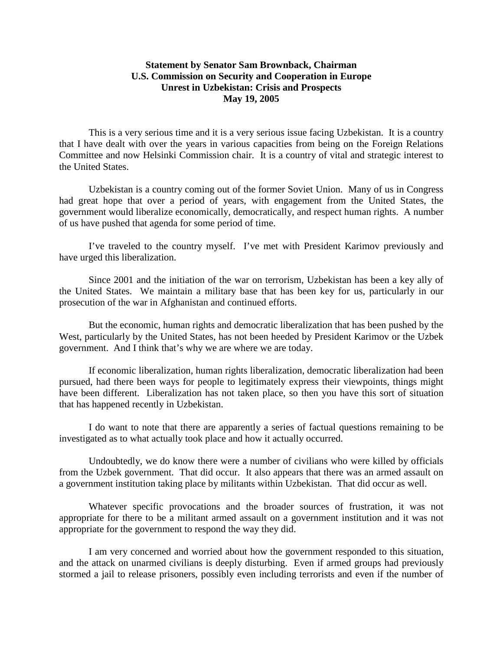## **Statement by Senator Sam Brownback, Chairman U.S. Commission on Security and Cooperation in Europe Unrest in Uzbekistan: Crisis and Prospects May 19, 2005**

This is a very serious time and it is a very serious issue facing Uzbekistan. It is a country that I have dealt with over the years in various capacities from being on the Foreign Relations Committee and now Helsinki Commission chair. It is a country of vital and strategic interest to the United States.

Uzbekistan is a country coming out of the former Soviet Union. Many of us in Congress had great hope that over a period of years, with engagement from the United States, the government would liberalize economically, democratically, and respect human rights. A number of us have pushed that agenda for some period of time.

I've traveled to the country myself. I've met with President Karimov previously and have urged this liberalization.

Since 2001 and the initiation of the war on terrorism, Uzbekistan has been a key ally of the United States. We maintain a military base that has been key for us, particularly in our prosecution of the war in Afghanistan and continued efforts.

But the economic, human rights and democratic liberalization that has been pushed by the West, particularly by the United States, has not been heeded by President Karimov or the Uzbek government. And I think that's why we are where we are today.

If economic liberalization, human rights liberalization, democratic liberalization had been pursued, had there been ways for people to legitimately express their viewpoints, things might have been different. Liberalization has not taken place, so then you have this sort of situation that has happened recently in Uzbekistan.

I do want to note that there are apparently a series of factual questions remaining to be investigated as to what actually took place and how it actually occurred.

Undoubtedly, we do know there were a number of civilians who were killed by officials from the Uzbek government. That did occur. It also appears that there was an armed assault on a government institution taking place by militants within Uzbekistan. That did occur as well.

Whatever specific provocations and the broader sources of frustration, it was not appropriate for there to be a militant armed assault on a government institution and it was not appropriate for the government to respond the way they did.

I am very concerned and worried about how the government responded to this situation, and the attack on unarmed civilians is deeply disturbing. Even if armed groups had previously stormed a jail to release prisoners, possibly even including terrorists and even if the number of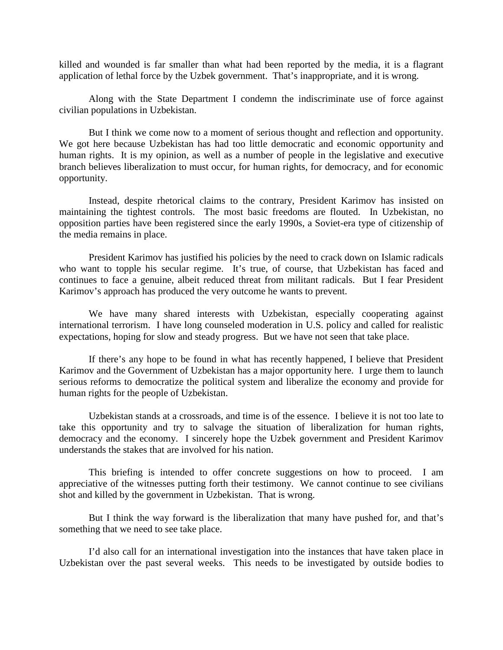killed and wounded is far smaller than what had been reported by the media, it is a flagrant application of lethal force by the Uzbek government. That's inappropriate, and it is wrong.

Along with the State Department I condemn the indiscriminate use of force against civilian populations in Uzbekistan.

But I think we come now to a moment of serious thought and reflection and opportunity. We got here because Uzbekistan has had too little democratic and economic opportunity and human rights. It is my opinion, as well as a number of people in the legislative and executive branch believes liberalization to must occur, for human rights, for democracy, and for economic opportunity.

Instead, despite rhetorical claims to the contrary, President Karimov has insisted on maintaining the tightest controls. The most basic freedoms are flouted. In Uzbekistan, no opposition parties have been registered since the early 1990s, a Soviet-era type of citizenship of the media remains in place.

President Karimov has justified his policies by the need to crack down on Islamic radicals who want to topple his secular regime. It's true, of course, that Uzbekistan has faced and continues to face a genuine, albeit reduced threat from militant radicals. But I fear President Karimov's approach has produced the very outcome he wants to prevent.

We have many shared interests with Uzbekistan, especially cooperating against international terrorism. I have long counseled moderation in U.S. policy and called for realistic expectations, hoping for slow and steady progress. But we have not seen that take place.

If there's any hope to be found in what has recently happened, I believe that President Karimov and the Government of Uzbekistan has a major opportunity here. I urge them to launch serious reforms to democratize the political system and liberalize the economy and provide for human rights for the people of Uzbekistan.

Uzbekistan stands at a crossroads, and time is of the essence. I believe it is not too late to take this opportunity and try to salvage the situation of liberalization for human rights, democracy and the economy. I sincerely hope the Uzbek government and President Karimov understands the stakes that are involved for his nation.

This briefing is intended to offer concrete suggestions on how to proceed. I am appreciative of the witnesses putting forth their testimony. We cannot continue to see civilians shot and killed by the government in Uzbekistan. That is wrong.

But I think the way forward is the liberalization that many have pushed for, and that's something that we need to see take place.

I'd also call for an international investigation into the instances that have taken place in Uzbekistan over the past several weeks. This needs to be investigated by outside bodies to